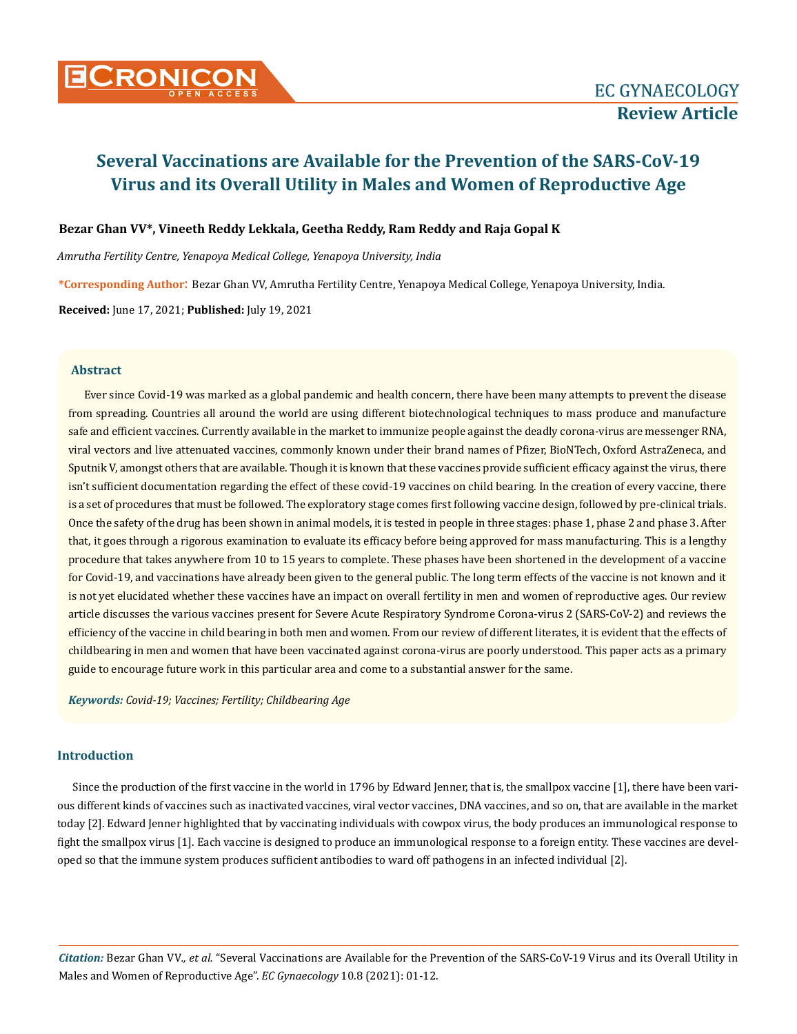

## **Bezar Ghan VV\*, Vineeth Reddy Lekkala, Geetha Reddy, Ram Reddy and Raja Gopal K**

*Amrutha Fertility Centre, Yenapoya Medical College, Yenapoya University, India* 

**\*Corresponding Author**: Bezar Ghan VV, Amrutha Fertility Centre, Yenapoya Medical College, Yenapoya University, India.

**Received:** June 17, 2021; **Published:** July 19, 2021

## **Abstract**

Ever since Covid-19 was marked as a global pandemic and health concern, there have been many attempts to prevent the disease from spreading. Countries all around the world are using different biotechnological techniques to mass produce and manufacture safe and efficient vaccines. Currently available in the market to immunize people against the deadly corona-virus are messenger RNA, viral vectors and live attenuated vaccines, commonly known under their brand names of Pfizer, BioNTech, Oxford AstraZeneca, and Sputnik V, amongst others that are available. Though it is known that these vaccines provide sufficient efficacy against the virus, there isn't sufficient documentation regarding the effect of these covid-19 vaccines on child bearing. In the creation of every vaccine, there is a set of procedures that must be followed. The exploratory stage comes first following vaccine design, followed by pre-clinical trials. Once the safety of the drug has been shown in animal models, it is tested in people in three stages: phase 1, phase 2 and phase 3. After that, it goes through a rigorous examination to evaluate its efficacy before being approved for mass manufacturing. This is a lengthy procedure that takes anywhere from 10 to 15 years to complete. These phases have been shortened in the development of a vaccine for Covid-19, and vaccinations have already been given to the general public. The long term effects of the vaccine is not known and it is not yet elucidated whether these vaccines have an impact on overall fertility in men and women of reproductive ages. Our review article discusses the various vaccines present for Severe Acute Respiratory Syndrome Corona-virus 2 (SARS-CoV-2) and reviews the efficiency of the vaccine in child bearing in both men and women. From our review of different literates, it is evident that the effects of childbearing in men and women that have been vaccinated against corona-virus are poorly understood. This paper acts as a primary guide to encourage future work in this particular area and come to a substantial answer for the same.

*Keywords: Covid-19; Vaccines; Fertility; Childbearing Age* 

## **Introduction**

Since the production of the first vaccine in the world in 1796 by Edward Jenner, that is, the smallpox vaccine [1], there have been various different kinds of vaccines such as inactivated vaccines, viral vector vaccines, DNA vaccines, and so on, that are available in the market today [2]. Edward Jenner highlighted that by vaccinating individuals with cowpox virus, the body produces an immunological response to fight the smallpox virus [1]. Each vaccine is designed to produce an immunological response to a foreign entity. These vaccines are developed so that the immune system produces sufficient antibodies to ward off pathogens in an infected individual [2].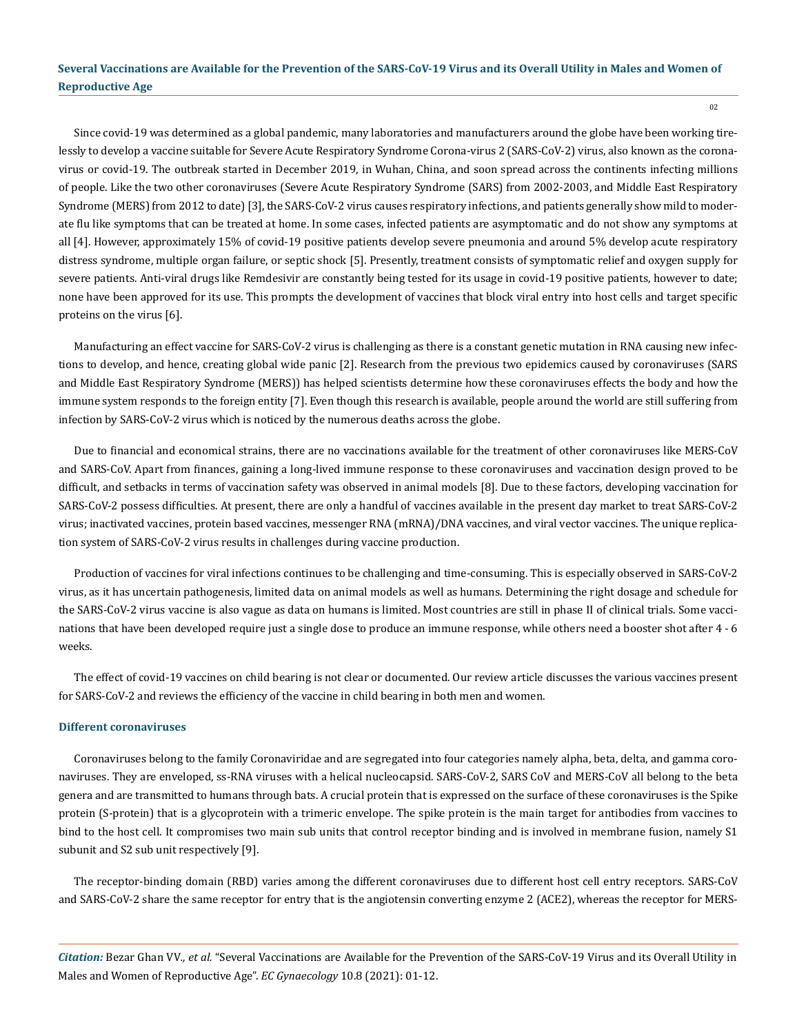Since covid-19 was determined as a global pandemic, many laboratories and manufacturers around the globe have been working tirelessly to develop a vaccine suitable for Severe Acute Respiratory Syndrome Corona-virus 2 (SARS-CoV-2) virus, also known as the coronavirus or covid-19. The outbreak started in December 2019, in Wuhan, China, and soon spread across the continents infecting millions of people. Like the two other coronaviruses (Severe Acute Respiratory Syndrome (SARS) from 2002-2003, and Middle East Respiratory Syndrome (MERS) from 2012 to date) [3], the SARS-CoV-2 virus causes respiratory infections, and patients generally show mild to moderate flu like symptoms that can be treated at home. In some cases, infected patients are asymptomatic and do not show any symptoms at all [4]. However, approximately 15% of covid-19 positive patients develop severe pneumonia and around 5% develop acute respiratory distress syndrome, multiple organ failure, or septic shock [5]. Presently, treatment consists of symptomatic relief and oxygen supply for severe patients. Anti-viral drugs like Remdesivir are constantly being tested for its usage in covid-19 positive patients, however to date; none have been approved for its use. This prompts the development of vaccines that block viral entry into host cells and target specific proteins on the virus [6].

Manufacturing an effect vaccine for SARS-CoV-2 virus is challenging as there is a constant genetic mutation in RNA causing new infections to develop, and hence, creating global wide panic [2]. Research from the previous two epidemics caused by coronaviruses (SARS and Middle East Respiratory Syndrome (MERS)) has helped scientists determine how these coronaviruses effects the body and how the immune system responds to the foreign entity [7]. Even though this research is available, people around the world are still suffering from infection by SARS-CoV-2 virus which is noticed by the numerous deaths across the globe.

Due to financial and economical strains, there are no vaccinations available for the treatment of other coronaviruses like MERS-CoV and SARS-CoV. Apart from finances, gaining a long-lived immune response to these coronaviruses and vaccination design proved to be difficult, and setbacks in terms of vaccination safety was observed in animal models [8]. Due to these factors, developing vaccination for SARS-CoV-2 possess difficulties. At present, there are only a handful of vaccines available in the present day market to treat SARS-CoV-2 virus; inactivated vaccines, protein based vaccines, messenger RNA (mRNA)/DNA vaccines, and viral vector vaccines. The unique replication system of SARS-CoV-2 virus results in challenges during vaccine production.

Production of vaccines for viral infections continues to be challenging and time-consuming. This is especially observed in SARS-CoV-2 virus, as it has uncertain pathogenesis, limited data on animal models as well as humans. Determining the right dosage and schedule for the SARS-CoV-2 virus vaccine is also vague as data on humans is limited. Most countries are still in phase II of clinical trials. Some vaccinations that have been developed require just a single dose to produce an immune response, while others need a booster shot after 4 - 6 weeks.

The effect of covid-19 vaccines on child bearing is not clear or documented. Our review article discusses the various vaccines present for SARS-CoV-2 and reviews the efficiency of the vaccine in child bearing in both men and women.

#### **Different coronaviruses**

Coronaviruses belong to the family Coronaviridae and are segregated into four categories namely alpha, beta, delta, and gamma coronaviruses. They are enveloped, ss-RNA viruses with a helical nucleocapsid. SARS-CoV-2, SARS CoV and MERS-CoV all belong to the beta genera and are transmitted to humans through bats. A crucial protein that is expressed on the surface of these coronaviruses is the Spike protein (S-protein) that is a glycoprotein with a trimeric envelope. The spike protein is the main target for antibodies from vaccines to bind to the host cell. It compromises two main sub units that control receptor binding and is involved in membrane fusion, namely S1 subunit and S2 sub unit respectively [9].

The receptor-binding domain (RBD) varies among the different coronaviruses due to different host cell entry receptors. SARS-CoV and SARS-CoV-2 share the same receptor for entry that is the angiotensin converting enzyme 2 (ACE2), whereas the receptor for MERS-

*Citation:* Bezar Ghan VV*., et al.* "Several Vaccinations are Available for the Prevention of the SARS-CoV-19 Virus and its Overall Utility in Males and Women of Reproductive Age". *EC Gynaecology* 10.8 (2021): 01-12.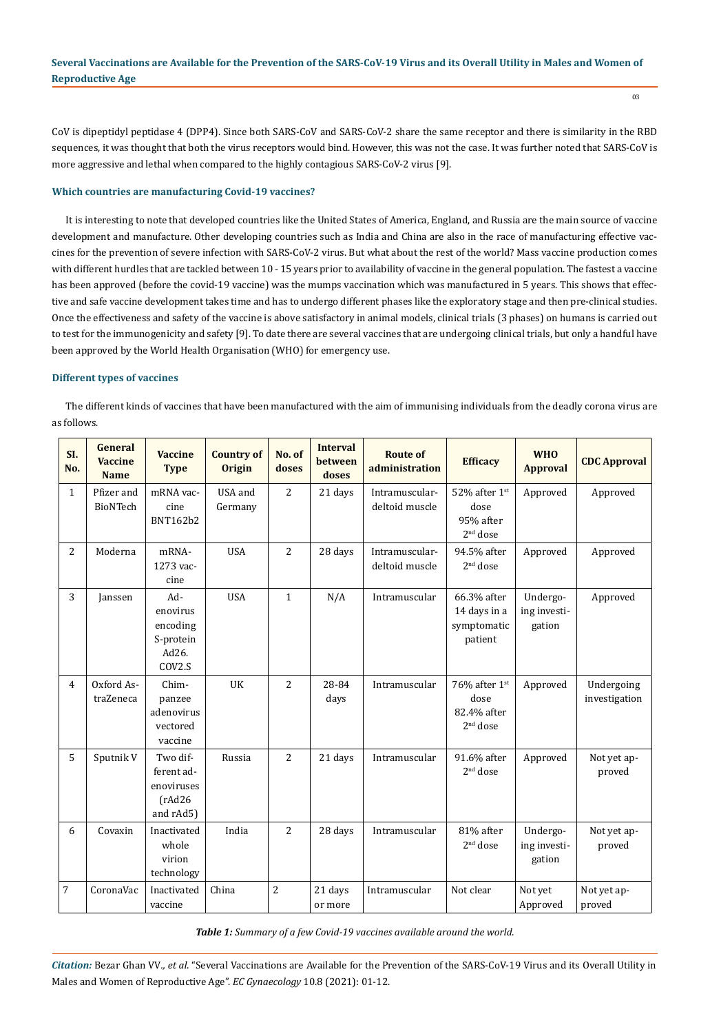CoV is dipeptidyl peptidase 4 (DPP4). Since both SARS-CoV and SARS-CoV-2 share the same receptor and there is similarity in the RBD sequences, it was thought that both the virus receptors would bind. However, this was not the case. It was further noted that SARS-CoV is more aggressive and lethal when compared to the highly contagious SARS-CoV-2 virus [9].

## **Which countries are manufacturing Covid-19 vaccines?**

It is interesting to note that developed countries like the United States of America, England, and Russia are the main source of vaccine development and manufacture. Other developing countries such as India and China are also in the race of manufacturing effective vaccines for the prevention of severe infection with SARS-CoV-2 virus. But what about the rest of the world? Mass vaccine production comes with different hurdles that are tackled between 10 - 15 years prior to availability of vaccine in the general population. The fastest a vaccine has been approved (before the covid-19 vaccine) was the mumps vaccination which was manufactured in 5 years. This shows that effective and safe vaccine development takes time and has to undergo different phases like the exploratory stage and then pre-clinical studies. Once the effectiveness and safety of the vaccine is above satisfactory in animal models, clinical trials (3 phases) on humans is carried out to test for the immunogenicity and safety [9]. To date there are several vaccines that are undergoing clinical trials, but only a handful have been approved by the World Health Organisation (WHO) for emergency use.

## **Different types of vaccines**

The different kinds of vaccines that have been manufactured with the aim of immunising individuals from the deadly corona virus are as follows.

| SI.<br>No.     | <b>General</b><br><b>Vaccine</b><br><b>Name</b> | <b>Vaccine</b><br><b>Type</b>                                | <b>Country of</b><br><b>Origin</b> | No. of<br>doses | <b>Interval</b><br>between<br>doses | <b>Route of</b><br>administration | <b>Efficacy</b>                                                | <b>WHO</b><br><b>Approval</b>      | <b>CDC Approval</b>         |
|----------------|-------------------------------------------------|--------------------------------------------------------------|------------------------------------|-----------------|-------------------------------------|-----------------------------------|----------------------------------------------------------------|------------------------------------|-----------------------------|
| $\mathbf{1}$   | Pfizer and<br>BioNTech                          | mRNA vac-<br>cine<br><b>BNT162b2</b>                         | USA and<br>Germany                 | $\overline{c}$  | 21 days                             | Intramuscular-<br>deltoid muscle  | 52% after 1st<br>dose<br>95% after<br>$2nd$ dose               | Approved                           | Approved                    |
| 2              | Moderna                                         | mRNA-<br>1273 vac-<br>cine                                   | <b>USA</b>                         | 2               | 28 days                             | Intramuscular-<br>deltoid muscle  | 94.5% after<br>2 <sup>nd</sup> dose                            | Approved                           | Approved                    |
| 3              | Janssen                                         | Ad-<br>enovirus<br>encoding<br>S-protein<br>Ad26.<br>COV2.S  | <b>USA</b>                         | $\mathbf{1}$    | N/A                                 | Intramuscular                     | 66.3% after<br>14 days in a<br>symptomatic<br>patient          | Undergo-<br>ing investi-<br>gation | Approved                    |
| $\overline{4}$ | Oxford As-<br>traZeneca                         | Chim-<br>panzee<br>adenovirus<br>vectored<br>vaccine         | UK                                 | $\overline{2}$  | 28-84<br>days                       | Intramuscular                     | 76% after $1st$<br>dose<br>82.4% after<br>2 <sup>nd</sup> dose | Approved                           | Undergoing<br>investigation |
| 5              | Sputnik V                                       | Two dif-<br>ferent ad-<br>enoviruses<br>(rAd26)<br>and rAd5) | Russia                             | $\overline{2}$  | 21 days                             | Intramuscular                     | 91.6% after<br>$2nd$ dose                                      | Approved                           | Not yet ap-<br>proved       |
| 6              | Covaxin                                         | Inactivated<br>whole<br>virion<br>technology                 | India                              | $\overline{c}$  | 28 days                             | Intramuscular                     | 81% after<br>$2nd$ dose                                        | Undergo-<br>ing investi-<br>gation | Not yet ap-<br>proved       |
| 7              | CoronaVac                                       | Inactivated<br>vaccine                                       | China                              | $\overline{2}$  | 21 days<br>or more                  | Intramuscular                     | Not clear                                                      | Not yet<br>Approved                | Not yet ap-<br>proved       |

*Table 1: Summary of a few Covid-19 vaccines available around the world.*

*Citation:* Bezar Ghan VV*., et al.* "Several Vaccinations are Available for the Prevention of the SARS-CoV-19 Virus and its Overall Utility in Males and Women of Reproductive Age". *EC Gynaecology* 10.8 (2021): 01-12.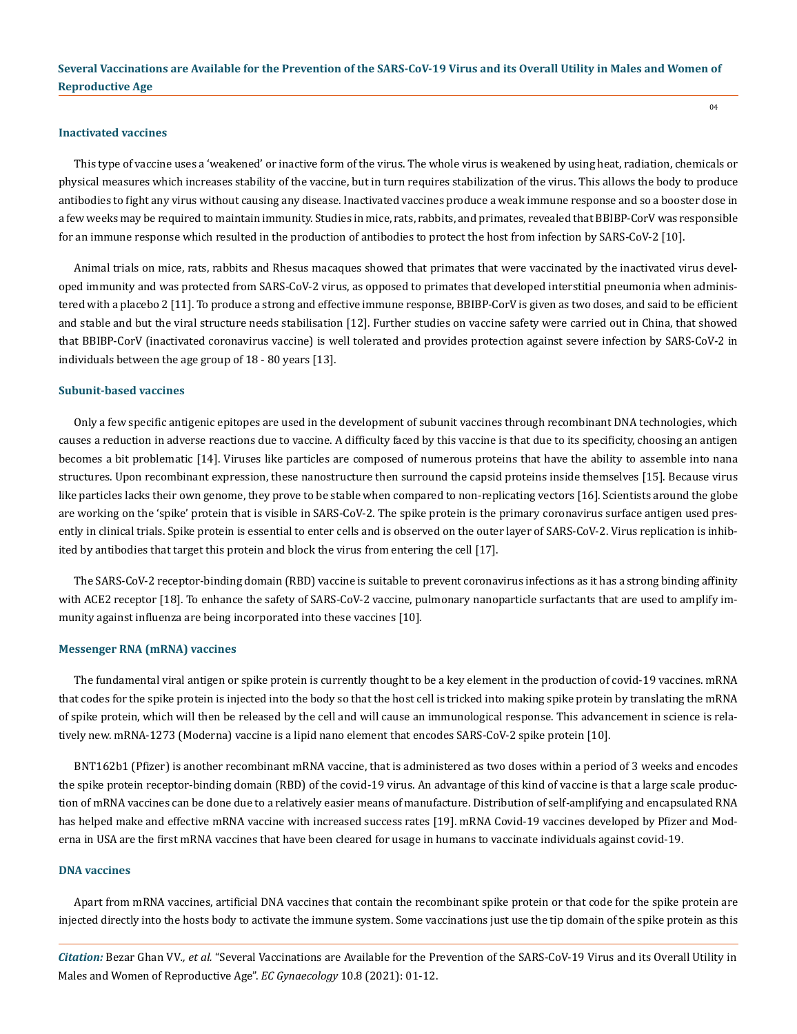#### **Inactivated vaccines**

This type of vaccine uses a 'weakened' or inactive form of the virus. The whole virus is weakened by using heat, radiation, chemicals or physical measures which increases stability of the vaccine, but in turn requires stabilization of the virus. This allows the body to produce antibodies to fight any virus without causing any disease. Inactivated vaccines produce a weak immune response and so a booster dose in a few weeks may be required to maintain immunity. Studies in mice, rats, rabbits, and primates, revealed that BBIBP-CorV was responsible for an immune response which resulted in the production of antibodies to protect the host from infection by SARS-CoV-2 [10].

Animal trials on mice, rats, rabbits and Rhesus macaques showed that primates that were vaccinated by the inactivated virus developed immunity and was protected from SARS-CoV-2 virus, as opposed to primates that developed interstitial pneumonia when administered with a placebo 2 [11]. To produce a strong and effective immune response, BBIBP-CorV is given as two doses, and said to be efficient and stable and but the viral structure needs stabilisation [12]. Further studies on vaccine safety were carried out in China, that showed that BBIBP-CorV (inactivated coronavirus vaccine) is well tolerated and provides protection against severe infection by SARS-CoV-2 in individuals between the age group of 18 - 80 years [13].

#### **Subunit-based vaccines**

Only a few specific antigenic epitopes are used in the development of subunit vaccines through recombinant DNA technologies, which causes a reduction in adverse reactions due to vaccine. A difficulty faced by this vaccine is that due to its specificity, choosing an antigen becomes a bit problematic [14]. Viruses like particles are composed of numerous proteins that have the ability to assemble into nana structures. Upon recombinant expression, these nanostructure then surround the capsid proteins inside themselves [15]. Because virus like particles lacks their own genome, they prove to be stable when compared to non-replicating vectors [16]. Scientists around the globe are working on the 'spike' protein that is visible in SARS-CoV-2. The spike protein is the primary coronavirus surface antigen used presently in clinical trials. Spike protein is essential to enter cells and is observed on the outer layer of SARS-CoV-2. Virus replication is inhibited by antibodies that target this protein and block the virus from entering the cell [17].

The SARS-CoV-2 receptor-binding domain (RBD) vaccine is suitable to prevent coronavirus infections as it has a strong binding affinity with ACE2 receptor [18]. To enhance the safety of SARS-CoV-2 vaccine, pulmonary nanoparticle surfactants that are used to amplify immunity against influenza are being incorporated into these vaccines [10].

## **Messenger RNA (mRNA) vaccines**

The fundamental viral antigen or spike protein is currently thought to be a key element in the production of covid-19 vaccines. mRNA that codes for the spike protein is injected into the body so that the host cell is tricked into making spike protein by translating the mRNA of spike protein, which will then be released by the cell and will cause an immunological response. This advancement in science is relatively new. mRNA-1273 (Moderna) vaccine is a lipid nano element that encodes SARS-CoV-2 spike protein [10].

BNT162b1 (Pfizer) is another recombinant mRNA vaccine, that is administered as two doses within a period of 3 weeks and encodes the spike protein receptor-binding domain (RBD) of the covid-19 virus. An advantage of this kind of vaccine is that a large scale production of mRNA vaccines can be done due to a relatively easier means of manufacture. Distribution of self-amplifying and encapsulated RNA has helped make and effective mRNA vaccine with increased success rates [19]. mRNA Covid-19 vaccines developed by Pfizer and Moderna in USA are the first mRNA vaccines that have been cleared for usage in humans to vaccinate individuals against covid-19.

#### **DNA vaccines**

Apart from mRNA vaccines, artificial DNA vaccines that contain the recombinant spike protein or that code for the spike protein are injected directly into the hosts body to activate the immune system. Some vaccinations just use the tip domain of the spike protein as this

*Citation:* Bezar Ghan VV*., et al.* "Several Vaccinations are Available for the Prevention of the SARS-CoV-19 Virus and its Overall Utility in Males and Women of Reproductive Age". *EC Gynaecology* 10.8 (2021): 01-12.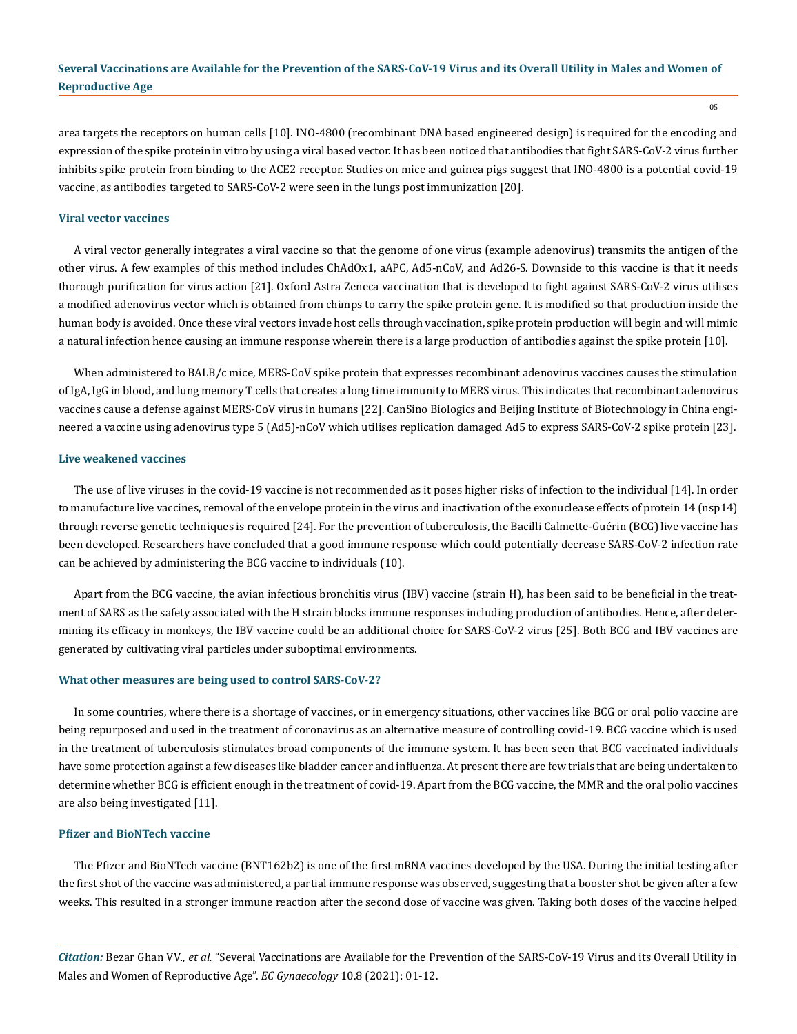area targets the receptors on human cells [10]. INO-4800 (recombinant DNA based engineered design) is required for the encoding and expression of the spike protein in vitro by using a viral based vector. It has been noticed that antibodies that fight SARS-CoV-2 virus further inhibits spike protein from binding to the ACE2 receptor. Studies on mice and guinea pigs suggest that INO-4800 is a potential covid-19 vaccine, as antibodies targeted to SARS-CoV-2 were seen in the lungs post immunization [20].

#### **Viral vector vaccines**

A viral vector generally integrates a viral vaccine so that the genome of one virus (example adenovirus) transmits the antigen of the other virus. A few examples of this method includes ChAdOx1, aAPC, Ad5-nCoV, and Ad26-S. Downside to this vaccine is that it needs thorough purification for virus action [21]. Oxford Astra Zeneca vaccination that is developed to fight against SARS-CoV-2 virus utilises a modified adenovirus vector which is obtained from chimps to carry the spike protein gene. It is modified so that production inside the human body is avoided. Once these viral vectors invade host cells through vaccination, spike protein production will begin and will mimic a natural infection hence causing an immune response wherein there is a large production of antibodies against the spike protein [10].

When administered to BALB/c mice, MERS-CoV spike protein that expresses recombinant adenovirus vaccines causes the stimulation of IgA, IgG in blood, and lung memory T cells that creates a long time immunity to MERS virus. This indicates that recombinant adenovirus vaccines cause a defense against MERS-CoV virus in humans [22]. CanSino Biologics and Beijing Institute of Biotechnology in China engineered a vaccine using adenovirus type 5 (Ad5)-nCoV which utilises replication damaged Ad5 to express SARS-CoV-2 spike protein [23].

#### **Live weakened vaccines**

The use of live viruses in the covid-19 vaccine is not recommended as it poses higher risks of infection to the individual [14]. In order to manufacture live vaccines, removal of the envelope protein in the virus and inactivation of the exonuclease effects of protein 14 (nsp14) through reverse genetic techniques is required [24]. For the prevention of tuberculosis, the Bacilli Calmette-Guérin (BCG) live vaccine has been developed. Researchers have concluded that a good immune response which could potentially decrease SARS-CoV-2 infection rate can be achieved by administering the BCG vaccine to individuals (10).

Apart from the BCG vaccine, the avian infectious bronchitis virus (IBV) vaccine (strain H), has been said to be beneficial in the treatment of SARS as the safety associated with the H strain blocks immune responses including production of antibodies. Hence, after determining its efficacy in monkeys, the IBV vaccine could be an additional choice for SARS-CoV-2 virus [25]. Both BCG and IBV vaccines are generated by cultivating viral particles under suboptimal environments.

#### **What other measures are being used to control SARS-CoV-2?**

In some countries, where there is a shortage of vaccines, or in emergency situations, other vaccines like BCG or oral polio vaccine are being repurposed and used in the treatment of coronavirus as an alternative measure of controlling covid-19. BCG vaccine which is used in the treatment of tuberculosis stimulates broad components of the immune system. It has been seen that BCG vaccinated individuals have some protection against a few diseases like bladder cancer and influenza. At present there are few trials that are being undertaken to determine whether BCG is efficient enough in the treatment of covid-19. Apart from the BCG vaccine, the MMR and the oral polio vaccines are also being investigated [11].

#### **Pfizer and BioNTech vaccine**

The Pfizer and BioNTech vaccine (BNT162b2) is one of the first mRNA vaccines developed by the USA. During the initial testing after the first shot of the vaccine was administered, a partial immune response was observed, suggesting that a booster shot be given after a few weeks. This resulted in a stronger immune reaction after the second dose of vaccine was given. Taking both doses of the vaccine helped

*Citation:* Bezar Ghan VV*., et al.* "Several Vaccinations are Available for the Prevention of the SARS-CoV-19 Virus and its Overall Utility in Males and Women of Reproductive Age". *EC Gynaecology* 10.8 (2021): 01-12.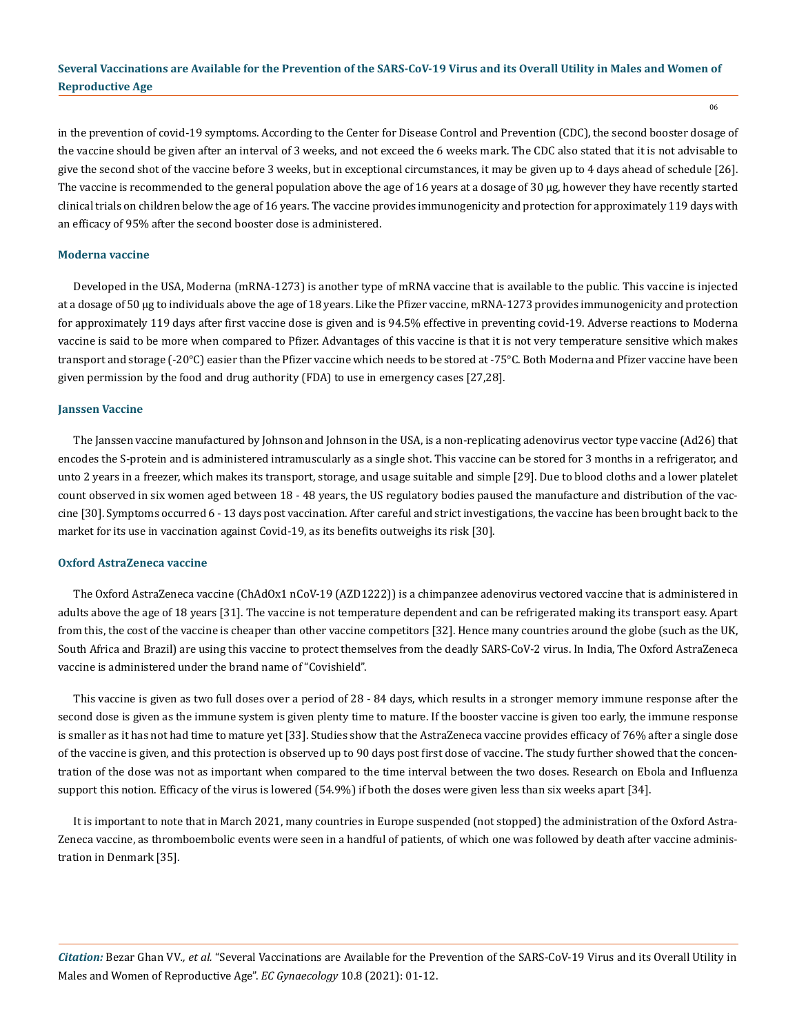06

in the prevention of covid-19 symptoms. According to the Center for Disease Control and Prevention (CDC), the second booster dosage of the vaccine should be given after an interval of 3 weeks, and not exceed the 6 weeks mark. The CDC also stated that it is not advisable to give the second shot of the vaccine before 3 weeks, but in exceptional circumstances, it may be given up to 4 days ahead of schedule [26]. The vaccine is recommended to the general population above the age of 16 years at a dosage of 30 μg, however they have recently started clinical trials on children below the age of 16 years. The vaccine provides immunogenicity and protection for approximately 119 days with an efficacy of 95% after the second booster dose is administered.

## **Moderna vaccine**

Developed in the USA, Moderna (mRNA-1273) is another type of mRNA vaccine that is available to the public. This vaccine is injected at a dosage of 50 μg to individuals above the age of 18 years. Like the Pfizer vaccine, mRNA-1273 provides immunogenicity and protection for approximately 119 days after first vaccine dose is given and is 94.5% effective in preventing covid-19. Adverse reactions to Moderna vaccine is said to be more when compared to Pfizer. Advantages of this vaccine is that it is not very temperature sensitive which makes transport and storage (-20°C) easier than the Pfizer vaccine which needs to be stored at -75°C. Both Moderna and Pfizer vaccine have been given permission by the food and drug authority (FDA) to use in emergency cases [27,28].

## **Janssen Vaccine**

The Janssen vaccine manufactured by Johnson and Johnson in the USA, is a non-replicating adenovirus vector type vaccine (Ad26) that encodes the S-protein and is administered intramuscularly as a single shot. This vaccine can be stored for 3 months in a refrigerator, and unto 2 years in a freezer, which makes its transport, storage, and usage suitable and simple [29]. Due to blood cloths and a lower platelet count observed in six women aged between 18 - 48 years, the US regulatory bodies paused the manufacture and distribution of the vaccine [30]. Symptoms occurred 6 - 13 days post vaccination. After careful and strict investigations, the vaccine has been brought back to the market for its use in vaccination against Covid-19, as its benefits outweighs its risk [30].

#### **Oxford AstraZeneca vaccine**

The Oxford AstraZeneca vaccine (ChAdOx1 nCoV-19 (AZD1222)) is a chimpanzee adenovirus vectored vaccine that is administered in adults above the age of 18 years [31]. The vaccine is not temperature dependent and can be refrigerated making its transport easy. Apart from this, the cost of the vaccine is cheaper than other vaccine competitors [32]. Hence many countries around the globe (such as the UK, South Africa and Brazil) are using this vaccine to protect themselves from the deadly SARS-CoV-2 virus. In India, The Oxford AstraZeneca vaccine is administered under the brand name of "Covishield".

This vaccine is given as two full doses over a period of 28 - 84 days, which results in a stronger memory immune response after the second dose is given as the immune system is given plenty time to mature. If the booster vaccine is given too early, the immune response is smaller as it has not had time to mature yet [33]. Studies show that the AstraZeneca vaccine provides efficacy of 76% after a single dose of the vaccine is given, and this protection is observed up to 90 days post first dose of vaccine. The study further showed that the concentration of the dose was not as important when compared to the time interval between the two doses. Research on Ebola and Influenza support this notion. Efficacy of the virus is lowered (54.9%) if both the doses were given less than six weeks apart [34].

It is important to note that in March 2021, many countries in Europe suspended (not stopped) the administration of the Oxford Astra-Zeneca vaccine, as thromboembolic events were seen in a handful of patients, of which one was followed by death after vaccine administration in Denmark [35].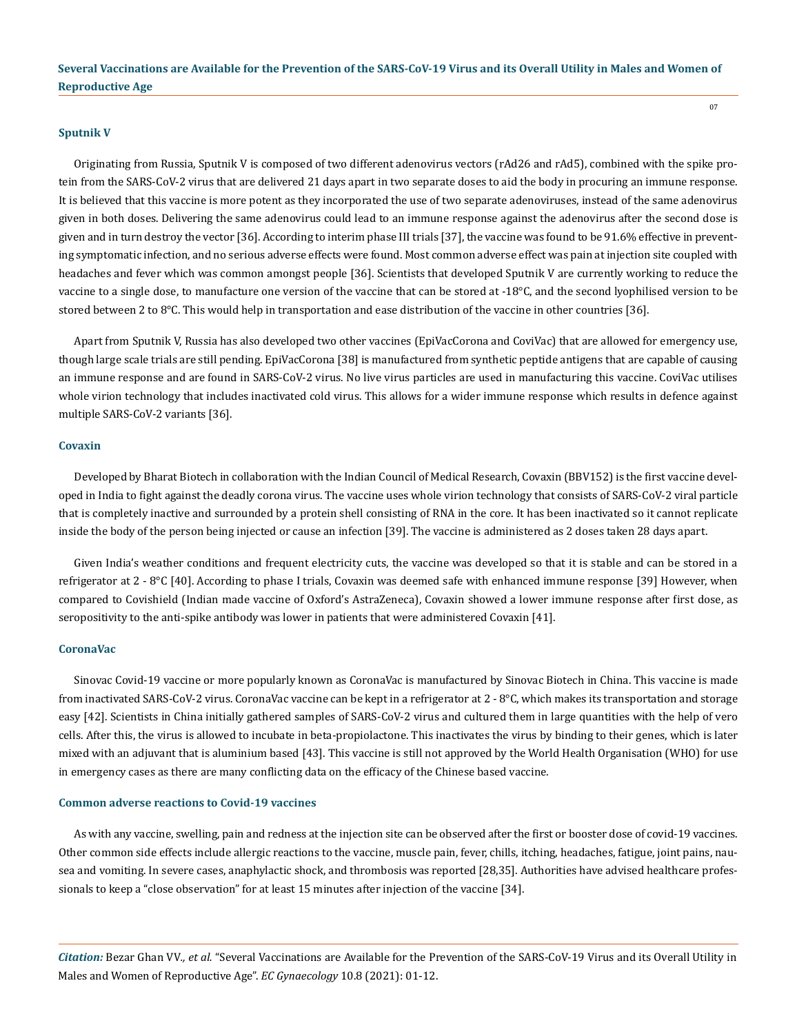#### **Sputnik V**

Originating from Russia, Sputnik V is composed of two different adenovirus vectors (rAd26 and rAd5), combined with the spike protein from the SARS-CoV-2 virus that are delivered 21 days apart in two separate doses to aid the body in procuring an immune response. It is believed that this vaccine is more potent as they incorporated the use of two separate adenoviruses, instead of the same adenovirus given in both doses. Delivering the same adenovirus could lead to an immune response against the adenovirus after the second dose is given and in turn destroy the vector [36]. According to interim phase III trials [37], the vaccine was found to be 91.6% effective in preventing symptomatic infection, and no serious adverse effects were found. Most common adverse effect was pain at injection site coupled with headaches and fever which was common amongst people [36]. Scientists that developed Sputnik V are currently working to reduce the vaccine to a single dose, to manufacture one version of the vaccine that can be stored at -18°C, and the second lyophilised version to be stored between 2 to 8°C. This would help in transportation and ease distribution of the vaccine in other countries [36].

Apart from Sputnik V, Russia has also developed two other vaccines (EpiVacCorona and CoviVac) that are allowed for emergency use, though large scale trials are still pending. EpiVacCorona [38] is manufactured from synthetic peptide antigens that are capable of causing an immune response and are found in SARS-CoV-2 virus. No live virus particles are used in manufacturing this vaccine. CoviVac utilises whole virion technology that includes inactivated cold virus. This allows for a wider immune response which results in defence against multiple SARS-CoV-2 variants [36].

#### **Covaxin**

Developed by Bharat Biotech in collaboration with the Indian Council of Medical Research, Covaxin (BBV152) is the first vaccine developed in India to fight against the deadly corona virus. The vaccine uses whole virion technology that consists of SARS-CoV-2 viral particle that is completely inactive and surrounded by a protein shell consisting of RNA in the core. It has been inactivated so it cannot replicate inside the body of the person being injected or cause an infection [39]. The vaccine is administered as 2 doses taken 28 days apart.

Given India's weather conditions and frequent electricity cuts, the vaccine was developed so that it is stable and can be stored in a refrigerator at 2 - 8°C [40]. According to phase I trials, Covaxin was deemed safe with enhanced immune response [39] However, when compared to Covishield (Indian made vaccine of Oxford's AstraZeneca), Covaxin showed a lower immune response after first dose, as seropositivity to the anti-spike antibody was lower in patients that were administered Covaxin [41].

#### **CoronaVac**

Sinovac Covid-19 vaccine or more popularly known as CoronaVac is manufactured by Sinovac Biotech in China. This vaccine is made from inactivated SARS-CoV-2 virus. CoronaVac vaccine can be kept in a refrigerator at 2 - 8°C, which makes its transportation and storage easy [42]. Scientists in China initially gathered samples of SARS-CoV-2 virus and cultured them in large quantities with the help of vero cells. After this, the virus is allowed to incubate in beta-propiolactone. This inactivates the virus by binding to their genes, which is later mixed with an adjuvant that is aluminium based [43]. This vaccine is still not approved by the World Health Organisation (WHO) for use in emergency cases as there are many conflicting data on the efficacy of the Chinese based vaccine.

#### **Common adverse reactions to Covid-19 vaccines**

As with any vaccine, swelling, pain and redness at the injection site can be observed after the first or booster dose of covid-19 vaccines. Other common side effects include allergic reactions to the vaccine, muscle pain, fever, chills, itching, headaches, fatigue, joint pains, nausea and vomiting. In severe cases, anaphylactic shock, and thrombosis was reported [28,35]. Authorities have advised healthcare professionals to keep a "close observation" for at least 15 minutes after injection of the vaccine [34].

*Citation:* Bezar Ghan VV*., et al.* "Several Vaccinations are Available for the Prevention of the SARS-CoV-19 Virus and its Overall Utility in Males and Women of Reproductive Age". *EC Gynaecology* 10.8 (2021): 01-12.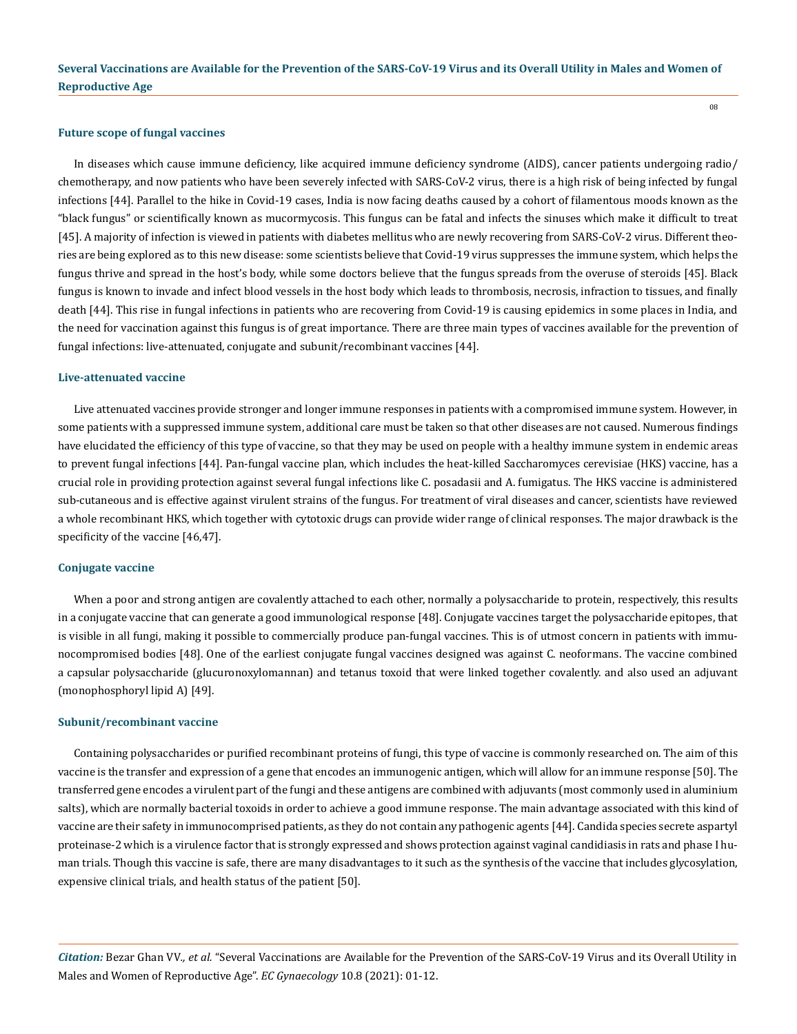08

#### **Future scope of fungal vaccines**

In diseases which cause immune deficiency, like acquired immune deficiency syndrome (AIDS), cancer patients undergoing radio/ chemotherapy, and now patients who have been severely infected with SARS-CoV-2 virus, there is a high risk of being infected by fungal infections [44]. Parallel to the hike in Covid-19 cases, India is now facing deaths caused by a cohort of filamentous moods known as the "black fungus" or scientifically known as mucormycosis. This fungus can be fatal and infects the sinuses which make it difficult to treat [45]. A majority of infection is viewed in patients with diabetes mellitus who are newly recovering from SARS-CoV-2 virus. Different theories are being explored as to this new disease: some scientists believe that Covid-19 virus suppresses the immune system, which helps the fungus thrive and spread in the host's body, while some doctors believe that the fungus spreads from the overuse of steroids [45]. Black fungus is known to invade and infect blood vessels in the host body which leads to thrombosis, necrosis, infraction to tissues, and finally death [44]. This rise in fungal infections in patients who are recovering from Covid-19 is causing epidemics in some places in India, and the need for vaccination against this fungus is of great importance. There are three main types of vaccines available for the prevention of fungal infections: live-attenuated, conjugate and subunit/recombinant vaccines [44].

#### **Live-attenuated vaccine**

Live attenuated vaccines provide stronger and longer immune responses in patients with a compromised immune system. However, in some patients with a suppressed immune system, additional care must be taken so that other diseases are not caused. Numerous findings have elucidated the efficiency of this type of vaccine, so that they may be used on people with a healthy immune system in endemic areas to prevent fungal infections [44]. Pan-fungal vaccine plan, which includes the heat-killed Saccharomyces cerevisiae (HKS) vaccine, has a crucial role in providing protection against several fungal infections like C. posadasii and A. fumigatus. The HKS vaccine is administered sub-cutaneous and is effective against virulent strains of the fungus. For treatment of viral diseases and cancer, scientists have reviewed a whole recombinant HKS, which together with cytotoxic drugs can provide wider range of clinical responses. The major drawback is the specificity of the vaccine [46,47].

#### **Conjugate vaccine**

When a poor and strong antigen are covalently attached to each other, normally a polysaccharide to protein, respectively, this results in a conjugate vaccine that can generate a good immunological response [48]. Conjugate vaccines target the polysaccharide epitopes, that is visible in all fungi, making it possible to commercially produce pan-fungal vaccines. This is of utmost concern in patients with immunocompromised bodies [48]. One of the earliest conjugate fungal vaccines designed was against C. neoformans. The vaccine combined a capsular polysaccharide (glucuronoxylomannan) and tetanus toxoid that were linked together covalently. and also used an adjuvant (monophosphoryl lipid A) [49].

#### **Subunit/recombinant vaccine**

Containing polysaccharides or purified recombinant proteins of fungi, this type of vaccine is commonly researched on. The aim of this vaccine is the transfer and expression of a gene that encodes an immunogenic antigen, which will allow for an immune response [50]. The transferred gene encodes a virulent part of the fungi and these antigens are combined with adjuvants (most commonly used in aluminium salts), which are normally bacterial toxoids in order to achieve a good immune response. The main advantage associated with this kind of vaccine are their safety in immunocomprised patients, as they do not contain any pathogenic agents [44]. Candida species secrete aspartyl proteinase-2 which is a virulence factor that is strongly expressed and shows protection against vaginal candidiasis in rats and phase I human trials. Though this vaccine is safe, there are many disadvantages to it such as the synthesis of the vaccine that includes glycosylation, expensive clinical trials, and health status of the patient [50].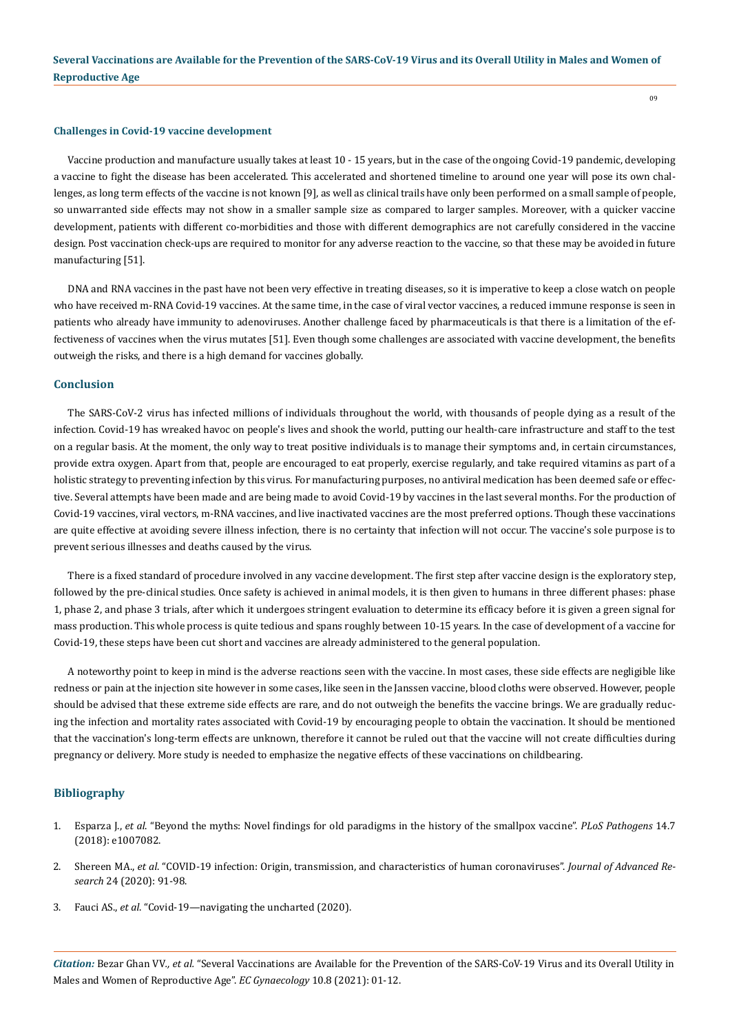09

#### **Challenges in Covid-19 vaccine development**

Vaccine production and manufacture usually takes at least 10 - 15 years, but in the case of the ongoing Covid-19 pandemic, developing a vaccine to fight the disease has been accelerated. This accelerated and shortened timeline to around one year will pose its own challenges, as long term effects of the vaccine is not known [9], as well as clinical trails have only been performed on a small sample of people, so unwarranted side effects may not show in a smaller sample size as compared to larger samples. Moreover, with a quicker vaccine development, patients with different co-morbidities and those with different demographics are not carefully considered in the vaccine design. Post vaccination check-ups are required to monitor for any adverse reaction to the vaccine, so that these may be avoided in future manufacturing [51].

DNA and RNA vaccines in the past have not been very effective in treating diseases, so it is imperative to keep a close watch on people who have received m-RNA Covid-19 vaccines. At the same time, in the case of viral vector vaccines, a reduced immune response is seen in patients who already have immunity to adenoviruses. Another challenge faced by pharmaceuticals is that there is a limitation of the effectiveness of vaccines when the virus mutates [51]. Even though some challenges are associated with vaccine development, the benefits outweigh the risks, and there is a high demand for vaccines globally.

#### **Conclusion**

The SARS-CoV-2 virus has infected millions of individuals throughout the world, with thousands of people dying as a result of the infection. Covid-19 has wreaked havoc on people's lives and shook the world, putting our health-care infrastructure and staff to the test on a regular basis. At the moment, the only way to treat positive individuals is to manage their symptoms and, in certain circumstances, provide extra oxygen. Apart from that, people are encouraged to eat properly, exercise regularly, and take required vitamins as part of a holistic strategy to preventing infection by this virus. For manufacturing purposes, no antiviral medication has been deemed safe or effective. Several attempts have been made and are being made to avoid Covid-19 by vaccines in the last several months. For the production of Covid-19 vaccines, viral vectors, m-RNA vaccines, and live inactivated vaccines are the most preferred options. Though these vaccinations are quite effective at avoiding severe illness infection, there is no certainty that infection will not occur. The vaccine's sole purpose is to prevent serious illnesses and deaths caused by the virus.

There is a fixed standard of procedure involved in any vaccine development. The first step after vaccine design is the exploratory step, followed by the pre-clinical studies. Once safety is achieved in animal models, it is then given to humans in three different phases: phase 1, phase 2, and phase 3 trials, after which it undergoes stringent evaluation to determine its efficacy before it is given a green signal for mass production. This whole process is quite tedious and spans roughly between 10-15 years. In the case of development of a vaccine for Covid-19, these steps have been cut short and vaccines are already administered to the general population.

A noteworthy point to keep in mind is the adverse reactions seen with the vaccine. In most cases, these side effects are negligible like redness or pain at the injection site however in some cases, like seen in the Janssen vaccine, blood cloths were observed. However, people should be advised that these extreme side effects are rare, and do not outweigh the benefits the vaccine brings. We are gradually reducing the infection and mortality rates associated with Covid-19 by encouraging people to obtain the vaccination. It should be mentioned that the vaccination's long-term effects are unknown, therefore it cannot be ruled out that the vaccine will not create difficulties during pregnancy or delivery. More study is needed to emphasize the negative effects of these vaccinations on childbearing.

## **Bibliography**

- 1. Esparza J., *et al*[. "Beyond the myths: Novel findings for old paradigms in the history of the smallpox vaccine".](https://www.ncbi.nlm.nih.gov/pmc/articles/PMC6062137/) *PLoS Pathogens* 14.7 [\(2018\): e1007082.](https://www.ncbi.nlm.nih.gov/pmc/articles/PMC6062137/)
- 2. Shereen MA., *et al*[. "COVID-19 infection: Origin, transmission, and characteristics of human coronaviruses".](https://www.researchgate.net/publication/339970952_COVID-19_infection_Origin_transmission_and_characteristics_of_human_coronaviruses) *Journal of Advanced Research* [24 \(2020\): 91-98.](https://www.researchgate.net/publication/339970952_COVID-19_infection_Origin_transmission_and_characteristics_of_human_coronaviruses)
- 3. Fauci AS., *et al*[. "Covid-19—navigating the uncharted \(2020\).](https://www.nejm.org/doi/full/10.1056/nejme2002387)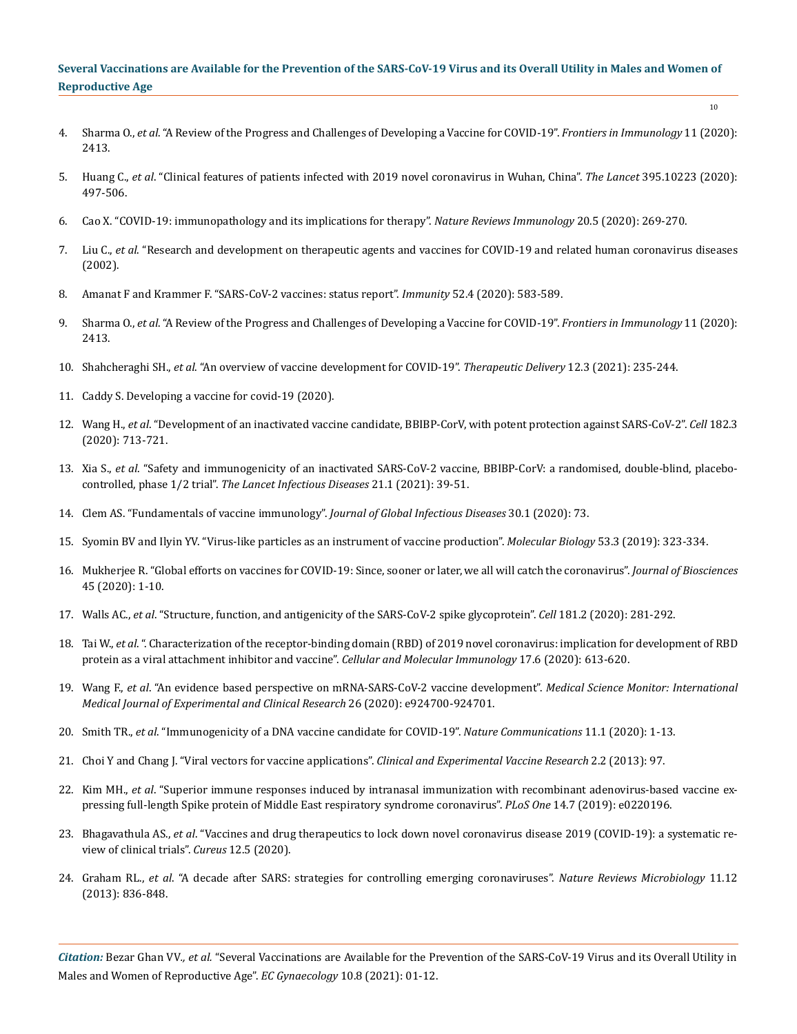- 4. Sharma O., *et al*[. "A Review of the Progress and Challenges of Developing a Vaccine for COVID-19".](https://www.frontiersin.org/articles/10.3389/fimmu.2020.585354/full) *Frontiers in Immunology* 11 (2020): [2413.](https://www.frontiersin.org/articles/10.3389/fimmu.2020.585354/full)
- 5. Huang C., *et al*[. "Clinical features of patients infected with 2019 novel coronavirus in Wuhan, China".](https://www.thelancet.com/journals/lancet/article/PIIS0140-6736(20)30183-5/fulltext) *The Lancet* 395.10223 (2020): [497-506.](https://www.thelancet.com/journals/lancet/article/PIIS0140-6736(20)30183-5/fulltext)
- 6. [Cao X. "COVID-19: immunopathology and its implications for therapy".](https://www.nature.com/articles/s41577-020-0308-3) *Nature Reviews Immunology* 20.5 (2020): 269-270.
- 7. Liu C., *et al*[. "Research and development on therapeutic agents and vaccines for COVID-19 and related human coronavirus diseases](https://pubs.acs.org/doi/10.1021/acscentsci.0c00272)  [\(2002\).](https://pubs.acs.org/doi/10.1021/acscentsci.0c00272)
- 8. [Amanat F and Krammer F. "SARS-CoV-2 vaccines: status report".](https://www.sciencedirect.com/science/article/pii/S1074761320301205) *Immunity* 52.4 (2020): 583-589.
- 9. Sharma O., *et al*[. "A Review of the Progress and Challenges of Developing a Vaccine for COVID-19".](https://www.frontiersin.org/articles/10.3389/fimmu.2020.585354/full) *Frontiers in Immunology* 11 (2020): [2413.](https://www.frontiersin.org/articles/10.3389/fimmu.2020.585354/full)
- 10. Shahcheraghi SH., *et al*[. "An overview of vaccine development for COVID-19".](https://www.ncbi.nlm.nih.gov/pmc/articles/PMC7923686/) *Therapeutic Delivery* 12.3 (2021): 235-244.
- 11. Caddy S. Developing a vaccine for covid-19 (2020).
- 12. Wang H., *et al*[. "Development of an inactivated vaccine candidate, BBIBP-CorV, with potent protection against SARS-CoV-2".](https://www.sciencedirect.com/science/article/abs/pii/S0092867420306954) *Cell* 182.3 [\(2020\): 713-721.](https://www.sciencedirect.com/science/article/abs/pii/S0092867420306954)
- 13. Xia S., *et al*[. "Safety and immunogenicity of an inactivated SARS-CoV-2 vaccine, BBIBP-CorV: a randomised, double-blind, placebo](https://www.researchgate.net/publication/346314985_Safety_and_immunogenicity_of_an_inactivated_SARS-CoV-2_vaccine_BBIBP-CorV_a_randomised_double-blind_placebo-controlled_phase_12_trial)controlled, phase 1/2 trial". *[The Lancet Infectious Diseases](https://www.researchgate.net/publication/346314985_Safety_and_immunogenicity_of_an_inactivated_SARS-CoV-2_vaccine_BBIBP-CorV_a_randomised_double-blind_placebo-controlled_phase_12_trial)* 21.1 (2021): 39-51.
- 14. [Clem AS. "Fundamentals of vaccine immunology".](https://www.ncbi.nlm.nih.gov/pmc/articles/PMC3068582/) *Journal of Global Infectious Diseases* 30.1 (2020): 73.
- 15. [Syomin BV and Ilyin YV. "Virus-like particles as an instrument of vaccine production".](https://www.ncbi.nlm.nih.gov/pmc/articles/PMC7088979/) *Molecular Biology* 53.3 (2019): 323-334.
- 16. [Mukherjee R. "Global efforts on vaccines for COVID-19: Since, sooner or later, we all will catch the coronavirus".](https://www.ncbi.nlm.nih.gov/pmc/articles/PMC7203076/) *Journal of Biosciences* [45 \(2020\): 1-10.](https://www.ncbi.nlm.nih.gov/pmc/articles/PMC7203076/)
- 17. Walls AC., *et al*[. "Structure, function, and antigenicity of the SARS-CoV-2 spike glycoprotein".](https://pubmed.ncbi.nlm.nih.gov/32155444/) *Cell* 181.2 (2020): 281-292.
- 18. Tai W., *et al*[. ". Characterization of the receptor-binding domain \(RBD\) of 2019 novel coronavirus: implication for development of RBD](https://www.nature.com/articles/s41423-020-0400-4)  [protein as a viral attachment inhibitor and vaccine".](https://www.nature.com/articles/s41423-020-0400-4) *Cellular and Molecular Immunology* 17.6 (2020): 613-620.
- 19. Wang F., *et al*[. "An evidence based perspective on mRNA-SARS-CoV-2 vaccine development".](https://www.ncbi.nlm.nih.gov/pmc/articles/PMC7218962/) *Medical Science Monitor: International [Medical Journal of Experimental and Clinical Research](https://www.ncbi.nlm.nih.gov/pmc/articles/PMC7218962/)* 26 (2020): e924700-924701.
- 20. Smith TR., *et al*[. "Immunogenicity of a DNA vaccine candidate for COVID-19".](https://www.nature.com/articles/s41467-020-16505-0) *Nature Communications* 11.1 (2020): 1-13.
- 21. [Choi Y and Chang J. "Viral vectors for vaccine applications".](https://www.ncbi.nlm.nih.gov/pmc/articles/PMC3710930/) *Clinical and Experimental Vaccine Research* 2.2 (2013): 97.
- 22. Kim MH., *et al*[. "Superior immune responses induced by intranasal immunization with recombinant adenovirus-based vaccine ex](https://pubmed.ncbi.nlm.nih.gov/31329652/)[pressing full-length Spike protein of Middle East respiratory syndrome coronavirus".](https://pubmed.ncbi.nlm.nih.gov/31329652/) *PLoS One* 14.7 (2019): e0220196.
- 23. Bhagavathula AS., *et al*[. "Vaccines and drug therapeutics to lock down novel coronavirus disease 2019 \(COVID-19\): a systematic re](https://www.ncbi.nlm.nih.gov/pmc/articles/PMC7263008/)[view of clinical trials".](https://www.ncbi.nlm.nih.gov/pmc/articles/PMC7263008/) *Cureus* 12.5 (2020).
- 24. Graham RL., *et al*[. "A decade after SARS: strategies for controlling emerging coronaviruses".](https://www.nature.com/articles/nrmicro3143) *Nature Reviews Microbiology* 11.12 [\(2013\): 836-848.](https://www.nature.com/articles/nrmicro3143)

*Citation:* Bezar Ghan VV*., et al.* "Several Vaccinations are Available for the Prevention of the SARS-CoV-19 Virus and its Overall Utility in Males and Women of Reproductive Age". *EC Gynaecology* 10.8 (2021): 01-12.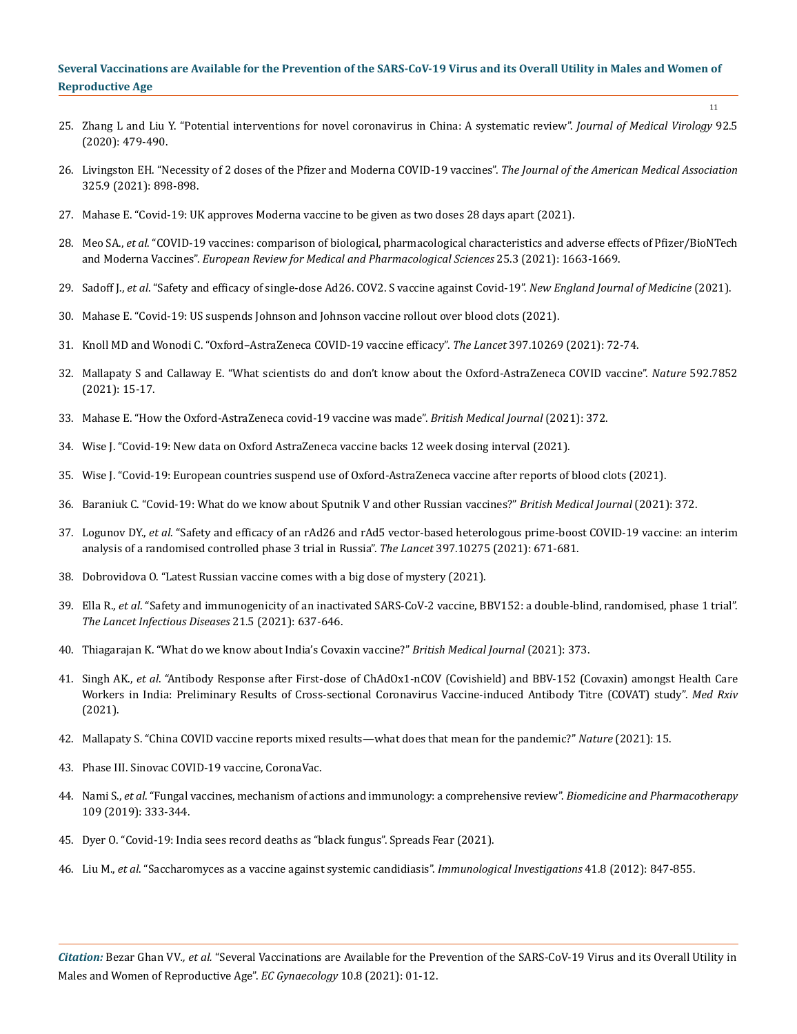25. [Zhang L and Liu Y. "Potential interventions for novel coronavirus in China: A systematic review".](https://pubmed.ncbi.nlm.nih.gov/32052466/) *Journal of Medical Virology* 92.5 [\(2020\): 479-490.](https://pubmed.ncbi.nlm.nih.gov/32052466/)

11

- 26. [Livingston EH. "Necessity of 2 doses of the Pfizer and Moderna COVID-19 vaccines".](https://jamanetwork.com/journals/jama/fullarticle/2776229) *The Journal of the American Medical Association* [325.9 \(2021\): 898-898.](https://jamanetwork.com/journals/jama/fullarticle/2776229)
- 27. [Mahase E. "Covid-19: UK approves Moderna vaccine to be given as two doses 28 days apart \(2021\).](https://www.bmj.com/content/372/bmj.n74)
- 28. Meo SA., *et al*[. "COVID-19 vaccines: comparison of biological, pharmacological characteristics and adverse effects of Pfizer/BioNTech](https://pubmed.ncbi.nlm.nih.gov/33629336/)  and Moderna Vaccines". *[European Review for Medical and Pharmacological Sciences](https://pubmed.ncbi.nlm.nih.gov/33629336/)* 25.3 (2021): 1663-1669.
- 29. Sadoff J., *et al*[. "Safety and efficacy of single-dose Ad26. COV2. S vaccine against Covid-19".](https://www.nejm.org/doi/full/10.1056/NEJMoa2101544) *New England Journal of Medicine* (2021).
- 30. Mahase E. "Covid-19: US suspends Johnson and Johnson vaccine rollout over blood clots (2021).
- 31. [Knoll MD and Wonodi C. "Oxford–AstraZeneca COVID-19 vaccine efficacy".](https://www.thelancet.com/journals/lancet/article/PIIS0140-6736(20)32623-4/fulltext) *The Lancet* 397.10269 (2021): 72-74.
- 32. [Mallapaty S and Callaway E. "What scientists do and don't know about the Oxford-AstraZeneca COVID vaccine".](https://pubmed.ncbi.nlm.nih.gov/33762708/) *Nature* 592.7852 [\(2021\): 15-17.](https://pubmed.ncbi.nlm.nih.gov/33762708/)
- 33. [Mahase E. "How the Oxford-AstraZeneca covid-19 vaccine was made".](https://www.bmj.com/content/372/bmj.n86) *British Medical Journal* (2021): 372.
- 34. [Wise J. "Covid-19: New data on Oxford AstraZeneca vaccine backs 12 week dosing interval \(2021\).](https://pubmed.ncbi.nlm.nih.gov/33536232/)
- 35. [Wise J. "Covid-19: European countries suspend use of Oxford-AstraZeneca vaccine after reports of blood clots \(2021\).](https://pubmed.ncbi.nlm.nih.gov/33707182/)
- 36. [Baraniuk C. "Covid-19: What do we know about Sputnik V and other Russian vaccines?"](https://www.bmj.com/content/372/bmj.n743) *British Medical Journal* (2021): 372.
- 37. Logunov DY., *et al*[. "Safety and efficacy of an rAd26 and rAd5 vector-based heterologous prime-boost COVID-19 vaccine: an interim](https://pubmed.ncbi.nlm.nih.gov/33545094/)  [analysis of a randomised controlled phase 3 trial in Russia".](https://pubmed.ncbi.nlm.nih.gov/33545094/) *The Lancet* 397.10275 (2021): 671-681.
- 38. [Dobrovidova O. "Latest Russian vaccine comes with a big dose of mystery \(2021\).](https://science.sciencemag.org/content/372/6538/116.summary)
- 39. Ella R., *et al*[. "Safety and immunogenicity of an inactivated SARS-CoV-2 vaccine, BBV152: a double-blind, randomised, phase 1 trial".](https://www.thelancet.com/journals/laninf/article/PIIS1473-3099(20)30942-7/fulltext)  *[The Lancet Infectious Diseases](https://www.thelancet.com/journals/laninf/article/PIIS1473-3099(20)30942-7/fulltext)* 21.5 (2021): 637-646.
- 40. [Thiagarajan K. "What do we know about India's Covaxin vaccine?"](https://www.bmj.com/content/373/bmj.n997) *British Medical Journal* (2021): 373.
- 41. Singh AK., *et al*[. "Antibody Response after First-dose of ChAdOx1-nCOV \(Covishield\) and BBV-152 \(Covaxin\) amongst Health Care](https://www.medrxiv.org/content/10.1101/2021.04.07.21255078v1)  [Workers in India: Preliminary Results of Cross-sectional Coronavirus Vaccine-induced Antibody Titre \(COVAT\) study".](https://www.medrxiv.org/content/10.1101/2021.04.07.21255078v1) *Med Rxiv* [\(2021\).](https://www.medrxiv.org/content/10.1101/2021.04.07.21255078v1)
- 42. [Mallapaty S. "China COVID vaccine reports mixed results—what does that mean for the pandemic?"](https://www.nature.com/articles/d41586-021-00094-z) *Nature* (2021): 15.
- 43. Phase III. Sinovac COVID-19 vaccine, CoronaVac.
- 44. Nami S., *et al*[. "Fungal vaccines, mechanism of actions and immunology: a comprehensive review".](https://pubmed.ncbi.nlm.nih.gov/30399567/) *Biomedicine and Pharmacotherapy* [109 \(2019\): 333-344.](https://pubmed.ncbi.nlm.nih.gov/30399567/)
- 45. [Dyer O. "Covid-19: India sees record deaths as "black fungus". Spreads Fear \(2021\).](https://www.bmj.com/content/373/bmj.n1238)
- 46. Liu M., *et al*[. "Saccharomyces as a vaccine against systemic candidiasis".](https://pubmed.ncbi.nlm.nih.gov/22686468/) *Immunological Investigations* 41.8 (2012): 847-855.